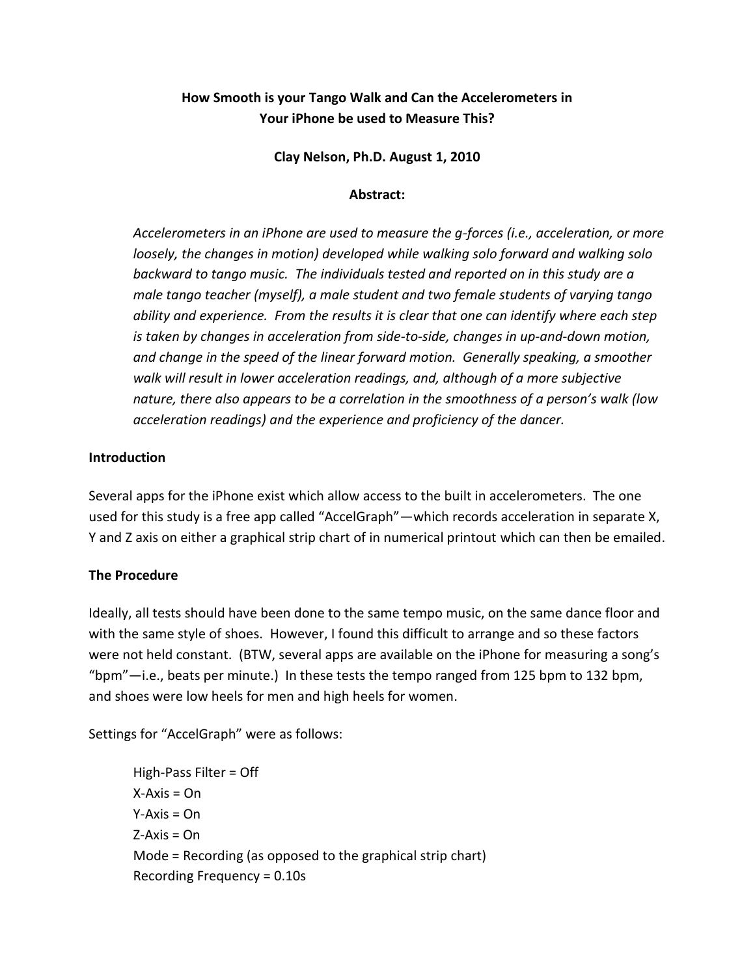# **How Smooth is your Tango Walk and Can the Accelerometers in Your iPhone be used to Measure This?**

**Clay Nelson, Ph.D. August 1, 2010**

### **Abstract:**

*Accelerometers in an iPhone are used to measure the g-forces (i.e., acceleration, or more loosely, the changes in motion) developed while walking solo forward and walking solo backward to tango music. The individuals tested and reported on in this study are a male tango teacher (myself), a male student and two female students of varying tango ability and experience. From the results it is clear that one can identify where each step is taken by changes in acceleration from side-to-side, changes in up-and-down motion, and change in the speed of the linear forward motion. Generally speaking, a smoother walk will result in lower acceleration readings, and, although of a more subjective nature, there also appears to be a correlation in the smoothness of a person's walk (low acceleration readings) and the experience and proficiency of the dancer.*

## **Introduction**

Several apps for the iPhone exist which allow access to the built in accelerometers. The one used for this study is a free app called "AccelGraph"—which records acceleration in separate X, Y and Z axis on either a graphical strip chart of in numerical printout which can then be emailed.

## **The Procedure**

Ideally, all tests should have been done to the same tempo music, on the same dance floor and with the same style of shoes. However, I found this difficult to arrange and so these factors were not held constant. (BTW, several apps are available on the iPhone for measuring a song's "bpm"—i.e., beats per minute.) In these tests the tempo ranged from 125 bpm to 132 bpm, and shoes were low heels for men and high heels for women.

Settings for "AccelGraph" were as follows:

High-Pass Filter = Off  $X-Axis = On$  $Y-Axis = On$  $Z-Axis = On$ Mode = Recording (as opposed to the graphical strip chart) Recording Frequency = 0.10s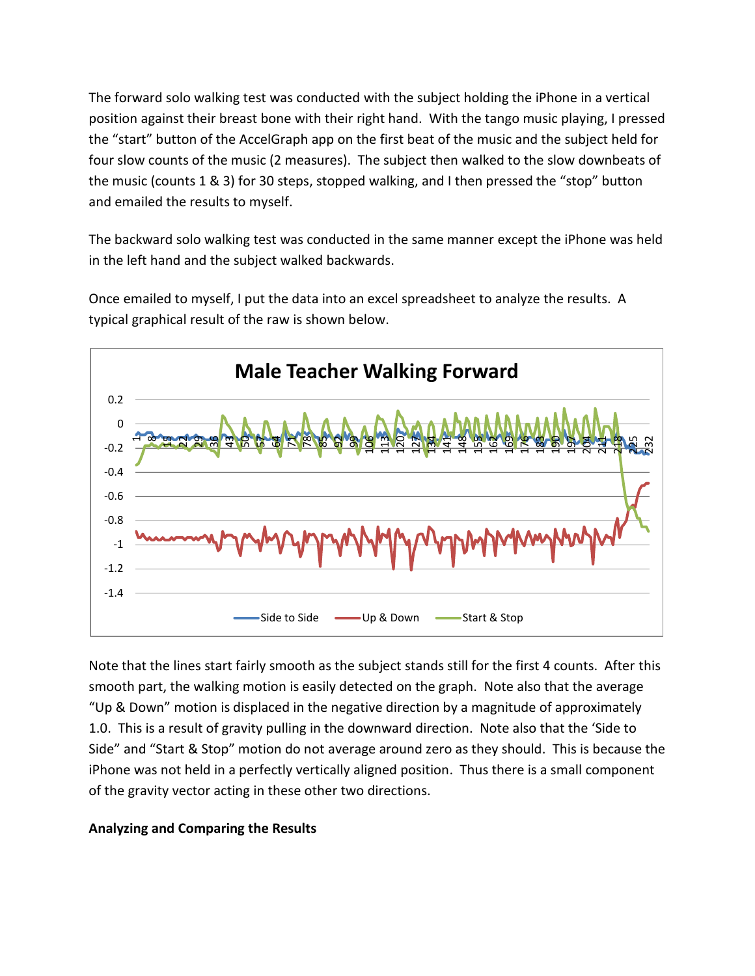The forward solo walking test was conducted with the subject holding the iPhone in a vertical position against their breast bone with their right hand. With the tango music playing, I pressed the "start" button of the AccelGraph app on the first beat of the music and the subject held for four slow counts of the music (2 measures). The subject then walked to the slow downbeats of the music (counts 1 & 3) for 30 steps, stopped walking, and I then pressed the "stop" button and emailed the results to myself.

The backward solo walking test was conducted in the same manner except the iPhone was held in the left hand and the subject walked backwards.

Once emailed to myself, I put the data into an excel spreadsheet to analyze the results. A typical graphical result of the raw is shown below.



Note that the lines start fairly smooth as the subject stands still for the first 4 counts. After this smooth part, the walking motion is easily detected on the graph. Note also that the average "Up & Down" motion is displaced in the negative direction by a magnitude of approximately 1.0. This is a result of gravity pulling in the downward direction. Note also that the 'Side to Side" and "Start & Stop" motion do not average around zero as they should. This is because the iPhone was not held in a perfectly vertically aligned position. Thus there is a small component of the gravity vector acting in these other two directions.

## **Analyzing and Comparing the Results**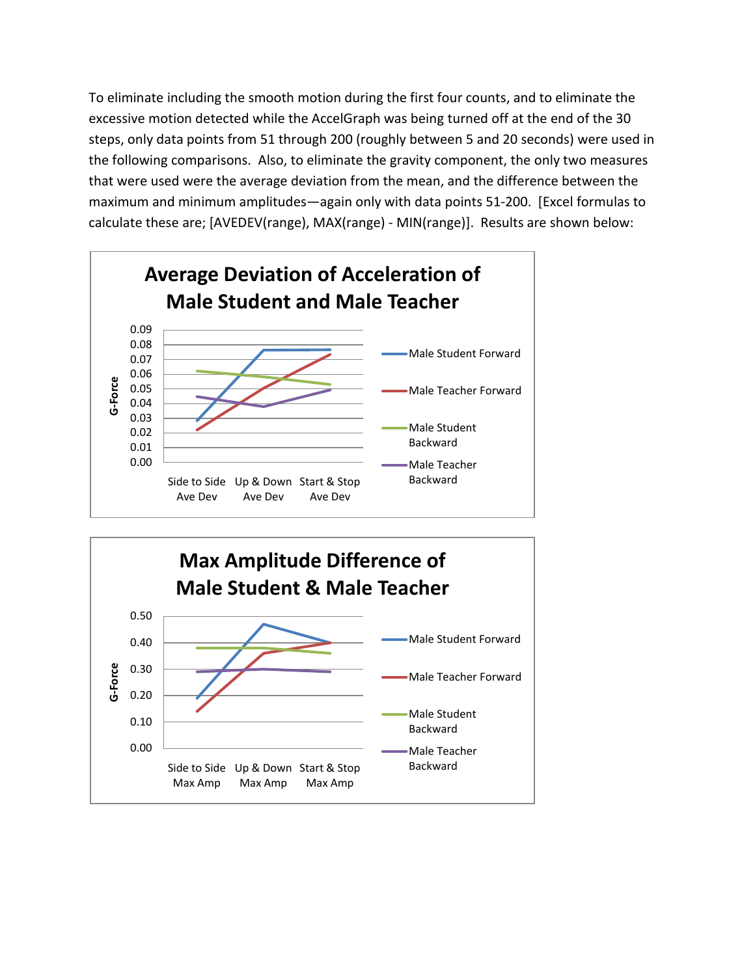To eliminate including the smooth motion during the first four counts, and to eliminate the excessive motion detected while the AccelGraph was being turned off at the end of the 30 steps, only data points from 51 through 200 (roughly between 5 and 20 seconds) were used in the following comparisons. Also, to eliminate the gravity component, the only two measures that were used were the average deviation from the mean, and the difference between the maximum and minimum amplitudes—again only with data points 51-200. [Excel formulas to calculate these are; [AVEDEV(range), MAX(range) - MIN(range)]. Results are shown below:



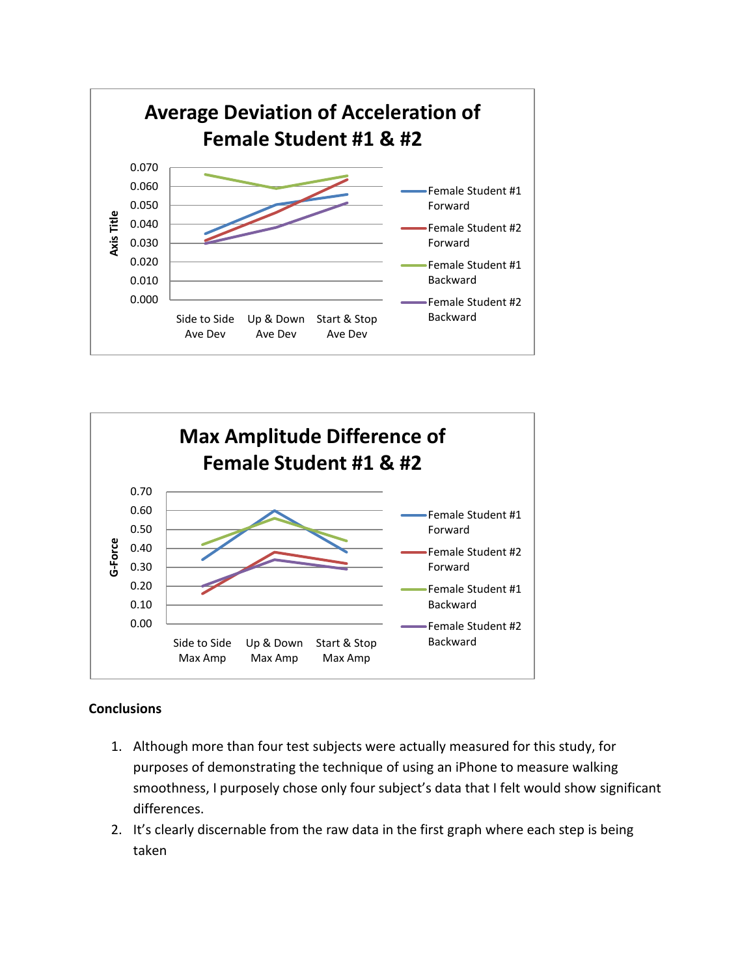



#### **Conclusions**

- 1. Although more than four test subjects were actually measured for this study, for purposes of demonstrating the technique of using an iPhone to measure walking smoothness, I purposely chose only four subject's data that I felt would show significant differences.
- 2. It's clearly discernable from the raw data in the first graph where each step is being taken